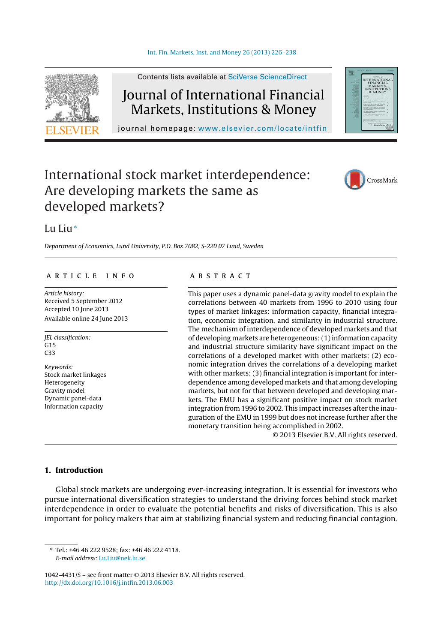

Contents lists available at SciVerse [ScienceDirect](http://www.sciencedirect.com/science/journal/10424431)

### Journal of International Financial Markets, Institutions & Money

journal homepage: [www.elsevier.com/locate/intfin](http://www.elsevier.com/locate/intfin)

## International stock market interdependence: Are developing markets the same as developed markets?



### Lu Liu<sup>∗</sup>

Department of Economics, Lund University, P.O. Box 7082, S-220 07 Lund, Sweden

#### a r t i c l e i n f o

Article history: Received 5 September 2012 Accepted 10 June 2013 Available online 24 June 2013

JEL classification: G15 C33

Keywords: Stock market linkages Heterogeneity Gravity model Dynamic panel-data Information capacity

#### a b s t r a c t

This paper uses a dynamic panel-data gravity model to explain the correlations between 40 markets from 1996 to 2010 using four types of market linkages: information capacity, financial integration, economic integration, and similarity in industrial structure. The mechanism of interdependence of developed markets and that of developing markets are heterogeneous: (1) information capacity and industrial structure similarity have significant impact on the correlations of a developed market with other markets; (2) economic integration drives the correlations of a developing market with other markets; (3) financial integration is important for interdependence among developed markets and that among developing markets, but not for that between developed and developing markets. The EMU has a significant positive impact on stock market integration from 1996 to 2002. This impact increases after the inauguration of the EMU in 1999 but does not increase further after the monetary transition being accomplished in 2002.

© 2013 Elsevier B.V. All rights reserved.

#### **1. Introduction**

Global stock markets are undergoing ever-increasing integration. It is essential for investors who pursue international diversification strategies to understand the driving forces behind stock market interdependence in order to evaluate the potential benefits and risks of diversification. This is also important for policy makers that aim at stabilizing financial system and reducing financial contagion.

1042-4431/\$ – see front matter © 2013 Elsevier B.V. All rights reserved. [http://dx.doi.org/10.1016/j.intfin.2013.06.003](dx.doi.org/10.1016/j.intfin.2013.06.003)

<sup>∗</sup> Tel.: +46 46 222 9528; fax: +46 46 222 4118. E-mail address: [Lu.Liu@nek.lu.se](mailto:Lu.Liu@nek.lu.se)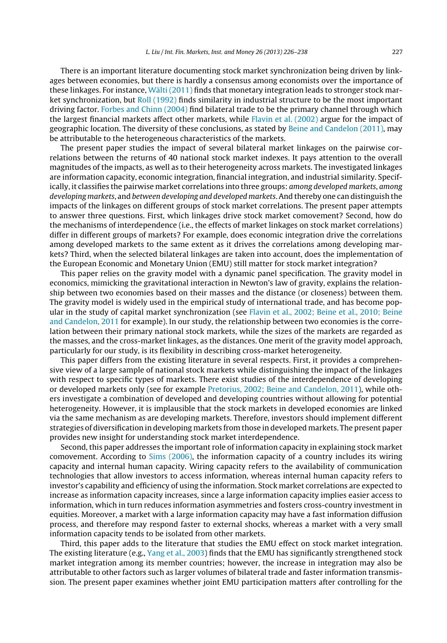There is an important literature documenting stock market synchronization being driven by linkages between economies, but there is hardly a consensus among economists over the importance of these linkages. For instance, [Wälti](#page--1-0) [\(2011\)](#page--1-0) finds that monetary integration leads to stronger stock market synchronization, but [Roll](#page--1-0) [\(1992\)](#page--1-0) finds similarity in industrial structure to be the most important driving factor. [Forbes](#page--1-0) [and](#page--1-0) [Chinn](#page--1-0) [\(2004\)](#page--1-0) find bilateral trade to be the primary channel through which the largest financial markets affect other markets, while [Flavin](#page--1-0) et [al.](#page--1-0) [\(2002\)](#page--1-0) argue for the impact of geographic location. The diversity of these conclusions, as stated by [Beine](#page--1-0) [and](#page--1-0) [Candelon](#page--1-0) [\(2011\),](#page--1-0) may be attributable to the heterogeneous characteristics of the markets.

The present paper studies the impact of several bilateral market linkages on the pairwise correlations between the returns of 40 national stock market indexes. It pays attention to the overall magnitudes of the impacts, as well as to their heterogeneity across markets. The investigated linkages are information capacity, economic integration, financial integration, and industrial similarity. Specifically, it classifies the pairwise market correlations into three groups: among developed markets, among developing markets, and between developing and developed markets.And thereby one can distinguish the impacts of the linkages on different groups of stock market correlations. The present paper attempts to answer three questions. First, which linkages drive stock market comovement? Second, how do the mechanisms of interdependence (i.e., the effects of market linkages on stock market correlations) differ in different groups of markets? For example, does economic integration drive the correlations among developed markets to the same extent as it drives the correlations among developing markets? Third, when the selected bilateral linkages are taken into account, does the implementation of the European Economic and Monetary Union (EMU) still matter for stock market integration?

This paper relies on the gravity model with a dynamic panel specification. The gravity model in economics, mimicking the gravitational interaction in Newton's law of gravity, explains the relationship between two economies based on their masses and the distance (or closeness) between them. The gravity model is widely used in the empirical study of international trade, and has become popular in the study of capital market synchronization (see [Flavin](#page--1-0) et [al.,](#page--1-0) [2002;](#page--1-0) [Beine](#page--1-0) et [al.,](#page--1-0) [2010;](#page--1-0) [Beine](#page--1-0) [and](#page--1-0) [Candelon,](#page--1-0) [2011](#page--1-0) for example). In our study, the relationship between two economies is the correlation between their primary national stock markets, while the sizes of the markets are regarded as the masses, and the cross-market linkages, as the distances. One merit of the gravity model approach, particularly for our study, is its flexibility in describing cross-market heterogeneity.

This paper differs from the existing literature in several respects. First, it provides a comprehensive view of a large sample of national stock markets while distinguishing the impact of the linkages with respect to specific types of markets. There exist studies of the interdependence of developing or developed markets only (see for example [Pretorius,](#page--1-0) [2002;](#page--1-0) [Beine](#page--1-0) [and](#page--1-0) [Candelon,](#page--1-0) [2011\),](#page--1-0) while others investigate a combination of developed and developing countries without allowing for potential heterogeneity. However, it is implausible that the stock markets in developed economies are linked via the same mechanism as are developing markets. Therefore, investors should implement different strategies of diversification in developing markets from those in developed markets. The present paper provides new insight for understanding stock market interdependence.

Second, this paper addresses the important role of information capacity in explaining stock market comovement. According to [Sims](#page--1-0) [\(2006\),](#page--1-0) the information capacity of a country includes its wiring capacity and internal human capacity. Wiring capacity refers to the availability of communication technologies that allow investors to access information, whereas internal human capacity refers to investor's capability and efficiency of using the information. Stock market correlations are expected to increase as information capacity increases, since a large information capacity implies easier access to information, which in turn reduces information asymmetries and fosters cross-country investment in equities. Moreover, a market with a large information capacity may have a fast information diffusion process, and therefore may respond faster to external shocks, whereas a market with a very small information capacity tends to be isolated from other markets.

Third, this paper adds to the literature that studies the EMU effect on stock market integration. The existing literature (e.g., [Yang](#page--1-0) et [al.,](#page--1-0) [2003\)](#page--1-0) finds that the EMU has significantly strengthened stock market integration among its member countries; however, the increase in integration may also be attributable to other factors such as larger volumes of bilateral trade and faster information transmission. The present paper examines whether joint EMU participation matters after controlling for the